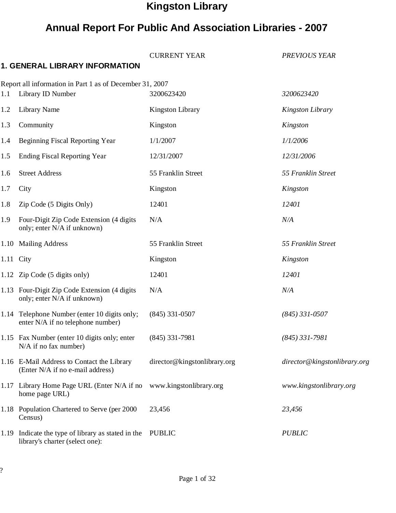# Kingston Library

# Annual Report For Public And Association Libraries - 2007

|     |                                                                                       | <b>CURRENT YEAR</b>          | <b>PREVIOUS YEAR</b>         |
|-----|---------------------------------------------------------------------------------------|------------------------------|------------------------------|
|     | <b>1. GENERAL LIBRARY INFORMATION</b>                                                 |                              |                              |
|     | Report all information in Part 1 as of December 31, 2007                              |                              |                              |
| 1.1 | Library ID Number                                                                     | 3200623420                   | 3200623420                   |
| 1.2 | <b>Library Name</b>                                                                   | <b>Kingston Library</b>      | Kingston Library             |
| 1.3 | Community                                                                             | Kingston                     | Kingston                     |
| 1.4 | <b>Beginning Fiscal Reporting Year</b>                                                | 1/1/2007                     | 1/1/2006                     |
| 1.5 | <b>Ending Fiscal Reporting Year</b>                                                   | 12/31/2007                   | 12/31/2006                   |
| 1.6 | <b>Street Address</b>                                                                 | 55 Franklin Street           | 55 Franklin Street           |
| 1.7 | City                                                                                  | Kingston                     | Kingston                     |
| 1.8 | Zip Code (5 Digits Only)                                                              | 12401                        | 12401                        |
| 1.9 | Four-Digit Zip Code Extension (4 digits<br>only; enter N/A if unknown)                | N/A                          | N/A                          |
|     | 1.10 Mailing Address                                                                  | 55 Franklin Street           | 55 Franklin Street           |
|     | 1.11 City                                                                             | Kingston                     | Kingston                     |
|     | 1.12 Zip Code (5 digits only)                                                         | 12401                        | 12401                        |
|     | 1.13 Four-Digit Zip Code Extension (4 digits<br>only; enter N/A if unknown)           | N/A                          | N/A                          |
|     | 1.14 Telephone Number (enter 10 digits only;<br>enter N/A if no telephone number)     | $(845)$ 331-0507             | $(845)$ 331-0507             |
|     | 1.15 Fax Number (enter 10 digits only; enter<br>$N/A$ if no fax number)               | $(845)$ 331-7981             | $(845)$ 331-7981             |
|     | 1.16 E-Mail Address to Contact the Library<br>(Enter N/A if no e-mail address)        | director@kingstonlibrary.org | director@kingstonlibrary.org |
|     | 1.17 Library Home Page URL (Enter N/A if no<br>home page URL)                         | www.kingstonlibrary.org      | www.kingstonlibrary.org      |
|     | 1.18 Population Chartered to Serve (per 2000)<br>Census)                              | 23,456                       | 23,456                       |
|     | 1.19 Indicate the type of library as stated in the<br>library's charter (select one): | <b>PUBLIC</b>                | <b>PUBLIC</b>                |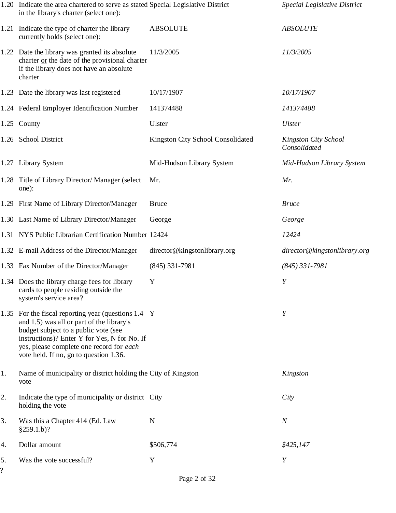|                                | 1.20 Indicate the area chartered to serve as stated Special Legislative District<br>in the library's charter (select one):                                                                                                                                                     |                                   | Special Legislative District         |
|--------------------------------|--------------------------------------------------------------------------------------------------------------------------------------------------------------------------------------------------------------------------------------------------------------------------------|-----------------------------------|--------------------------------------|
|                                | 1.21 Indicate the type of charter the library<br>currently holds (select one):                                                                                                                                                                                                 | <b>ABSOLUTE</b>                   | <b>ABSOLUTE</b>                      |
|                                | 1.22 Date the library was granted its absolute<br>charter or the date of the provisional charter<br>if the library does not have an absolute<br>charter                                                                                                                        | 11/3/2005                         | 11/3/2005                            |
|                                | 1.23 Date the library was last registered                                                                                                                                                                                                                                      | 10/17/1907                        | 10/17/1907                           |
|                                | 1.24 Federal Employer Identification Number                                                                                                                                                                                                                                    | 141374488                         | 141374488                            |
|                                | 1.25 County                                                                                                                                                                                                                                                                    | Ulster                            | <b>Ulster</b>                        |
|                                | 1.26 School District                                                                                                                                                                                                                                                           | Kingston City School Consolidated | Kingston City School<br>Consolidated |
|                                | 1.27 Library System                                                                                                                                                                                                                                                            | Mid-Hudson Library System         | Mid-Hudson Library System            |
|                                | 1.28 Title of Library Director/ Manager (select<br>one):                                                                                                                                                                                                                       | Mr.                               | Mr.                                  |
|                                | 1.29 First Name of Library Director/Manager                                                                                                                                                                                                                                    | <b>Bruce</b>                      | <b>Bruce</b>                         |
|                                | 1.30 Last Name of Library Director/Manager                                                                                                                                                                                                                                     | George                            | George                               |
|                                | 1.31 NYS Public Librarian Certification Number 12424                                                                                                                                                                                                                           |                                   | 12424                                |
|                                | 1.32 E-mail Address of the Director/Manager                                                                                                                                                                                                                                    | director@kingstonlibrary.org      | director@kingstonlibrary.org         |
|                                | 1.33 Fax Number of the Director/Manager                                                                                                                                                                                                                                        | $(845)$ 331-7981                  | $(845)$ 331-7981                     |
|                                | 1.34 Does the library charge fees for library<br>cards to people residing outside the<br>system's service area?                                                                                                                                                                | Y                                 | Y                                    |
|                                | 1.35 For the fiscal reporting year (questions 1.4 Y<br>and 1.5) was all or part of the library's<br>budget subject to a public vote (see<br>instructions)? Enter Y for Yes, N for No. If<br>yes, please complete one record for each<br>vote held. If no, go to question 1.36. |                                   | Y                                    |
| 1.                             | Name of municipality or district holding the City of Kingston<br>vote                                                                                                                                                                                                          |                                   | Kingston                             |
| 2.                             | Indicate the type of municipality or district City<br>holding the vote                                                                                                                                                                                                         |                                   | City                                 |
| 3.                             | Was this a Chapter 414 (Ed. Law<br>$§259.1.b$ ?                                                                                                                                                                                                                                | N                                 | $\boldsymbol{N}$                     |
| 4.                             | Dollar amount                                                                                                                                                                                                                                                                  | \$506,774                         | \$425,147                            |
| 5.<br>$\overline{\mathcal{C}}$ | Was the vote successful?                                                                                                                                                                                                                                                       | Y                                 | Y                                    |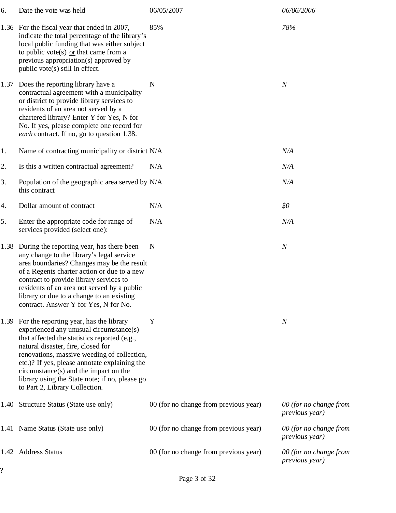| 6.   | Date the vote was held                                                                                                                                                                                                                                                                                                                                                                                | 06/05/2007                            | 06/06/2006                               |
|------|-------------------------------------------------------------------------------------------------------------------------------------------------------------------------------------------------------------------------------------------------------------------------------------------------------------------------------------------------------------------------------------------------------|---------------------------------------|------------------------------------------|
|      | 1.36 For the fiscal year that ended in 2007,<br>indicate the total percentage of the library's<br>local public funding that was either subject<br>to public vote(s) $or that came from a$<br>previous appropriation(s) approved by<br>public vote(s) still in effect.                                                                                                                                 | 85%                                   | 78%                                      |
| 1.37 | Does the reporting library have a<br>contractual agreement with a municipality<br>or district to provide library services to<br>residents of an area not served by a<br>chartered library? Enter Y for Yes, N for<br>No. If yes, please complete one record for<br>each contract. If no, go to question 1.38.                                                                                         | N                                     | $\boldsymbol{N}$                         |
| 1.   | Name of contracting municipality or district N/A                                                                                                                                                                                                                                                                                                                                                      |                                       | N/A                                      |
| 2.   | Is this a written contractual agreement?                                                                                                                                                                                                                                                                                                                                                              | N/A                                   | N/A                                      |
| 3.   | Population of the geographic area served by N/A<br>this contract                                                                                                                                                                                                                                                                                                                                      |                                       | N/A                                      |
| 4.   | Dollar amount of contract                                                                                                                                                                                                                                                                                                                                                                             | N/A                                   | \$0                                      |
| 5.   | Enter the appropriate code for range of<br>services provided (select one):                                                                                                                                                                                                                                                                                                                            | N/A                                   | N/A                                      |
| 1.38 | During the reporting year, has there been<br>any change to the library's legal service<br>area boundaries? Changes may be the result<br>of a Regents charter action or due to a new<br>contract to provide library services to<br>residents of an area not served by a public<br>library or due to a change to an existing<br>contract. Answer Y for Yes, N for No.                                   | $\mathbf N$                           | $\boldsymbol{N}$                         |
| 1.39 | For the reporting year, has the library<br>experienced any unusual circumstance(s)<br>that affected the statistics reported (e.g.,<br>natural disaster, fire, closed for<br>renovations, massive weeding of collection,<br>etc.)? If yes, please annotate explaining the<br>circumstance(s) and the impact on the<br>library using the State note; if no, please go<br>to Part 2, Library Collection. | Y                                     | $\boldsymbol{N}$                         |
| 1.40 | Structure Status (State use only)                                                                                                                                                                                                                                                                                                                                                                     | 00 (for no change from previous year) | 00 (for no change from<br>previous year) |
|      | 1.41 Name Status (State use only)                                                                                                                                                                                                                                                                                                                                                                     | 00 (for no change from previous year) | 00 (for no change from<br>previous year) |
|      | 1.42 Address Status                                                                                                                                                                                                                                                                                                                                                                                   | 00 (for no change from previous year) | 00 (for no change from<br>previous year) |
|      |                                                                                                                                                                                                                                                                                                                                                                                                       |                                       |                                          |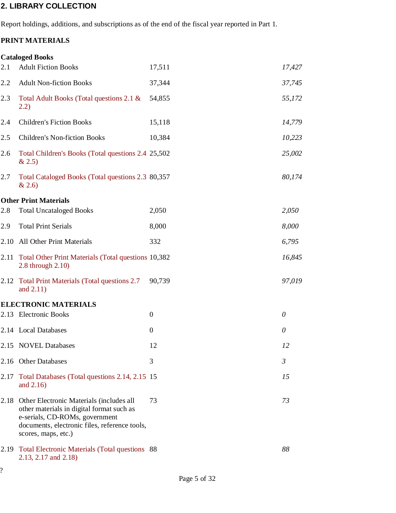### 2. LIBRARY COLLECTION

Report holdings, additions, and subscriptions as of the end of the fiscal year reported in Part 1.

## PRINT MATERIALS

|      | <b>Cataloged Books</b>                                                                                                                                                                          |                |                |
|------|-------------------------------------------------------------------------------------------------------------------------------------------------------------------------------------------------|----------------|----------------|
| 2.1  | <b>Adult Fiction Books</b>                                                                                                                                                                      | 17,511         | 17,427         |
| 2.2  | <b>Adult Non-fiction Books</b>                                                                                                                                                                  | 37,344         | 37,745         |
| 2.3  | Total Adult Books (Total questions 2.1 &<br>2.2)                                                                                                                                                | 54,855         | 55,172         |
| 2.4  | <b>Children's Fiction Books</b>                                                                                                                                                                 | 15,118         | 14,779         |
| 2.5  | <b>Children's Non-fiction Books</b>                                                                                                                                                             | 10,384         | 10,223         |
| 2.6  | Total Children's Books (Total questions 2.4 25,502<br>& 2.5)                                                                                                                                    |                | 25,002         |
| 2.7  | Total Cataloged Books (Total questions 2.3 80,357<br>& 2.6)                                                                                                                                     |                | 80,174         |
|      | <b>Other Print Materials</b>                                                                                                                                                                    |                |                |
| 2.8  | <b>Total Uncataloged Books</b>                                                                                                                                                                  | 2,050          | 2,050          |
| 2.9  | <b>Total Print Serials</b>                                                                                                                                                                      | 8,000          | 8,000          |
| 2.10 | <b>All Other Print Materials</b>                                                                                                                                                                | 332            | 6,795          |
|      | 2.11 Total Other Print Materials (Total questions 10,382<br>2.8 through 2.10)                                                                                                                   |                | 16,845         |
| 2.12 | <b>Total Print Materials (Total questions 2.7)</b><br>and $2.11$ )                                                                                                                              | 90,739         | 97,019         |
|      | <b>ELECTRONIC MATERIALS</b>                                                                                                                                                                     |                |                |
|      | 2.13 Electronic Books                                                                                                                                                                           | $\overline{0}$ | 0              |
|      | 2.14 Local Databases                                                                                                                                                                            | $\overline{0}$ | $\theta$       |
|      | 2.15 NOVEL Databases                                                                                                                                                                            | 12             | 12             |
|      | 2.16 Other Databases                                                                                                                                                                            | 3              | $\mathfrak{Z}$ |
| 2.17 | Total Databases (Total questions 2.14, 2.15 15<br>and 2.16)                                                                                                                                     |                | 15             |
| 2.18 | Other Electronic Materials (includes all<br>other materials in digital format such as<br>e-serials, CD-ROMs, government<br>documents, electronic files, reference tools,<br>scores, maps, etc.) | 73             | 73             |
| 2.19 | Total Electronic Materials (Total questions 88<br>2.13, 2.17 and 2.18)                                                                                                                          |                | 88             |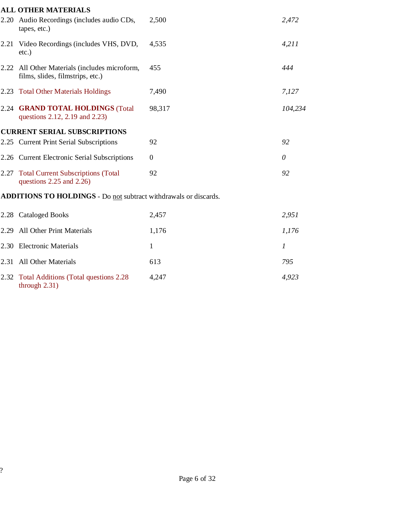|      | <b>ALL OTHER MATERIALS</b>                                                   |                |                  |
|------|------------------------------------------------------------------------------|----------------|------------------|
| 2.20 | Audio Recordings (includes audio CDs,<br>tapes, etc.)                        | 2,500          | 2,472            |
|      | 2.21 Video Recordings (includes VHS, DVD,<br>$etc.$ )                        | 4,535          | 4,211            |
| 2.22 | All Other Materials (includes microform,<br>films, slides, filmstrips, etc.) | 455            | 444              |
| 2.23 | <b>Total Other Materials Holdings</b>                                        | 7,490          | 7,127            |
|      | 2.24 GRAND TOTAL HOLDINGS (Total<br>questions 2.12, 2.19 and 2.23)           | 98,317         | 104,234          |
|      | <b>CURRENT SERIAL SUBSCRIPTIONS</b>                                          |                |                  |
|      | 2.25 Current Print Serial Subscriptions                                      | 92             | 92               |
|      | 2.26 Current Electronic Serial Subscriptions                                 | $\overline{0}$ | $\theta$         |
| 2.27 | <b>Total Current Subscriptions (Total</b><br>questions $2.25$ and $2.26$ )   | 92             | 92               |
|      | ADDITIONS TO HOLDINGS - Do not subtract withdrawals or discards.             |                |                  |
|      | 2.28 Cataloged Books                                                         | 2,457          | 2,951            |
| 2.29 | <b>All Other Print Materials</b>                                             | 1,176          | 1,176            |
| 2.30 | <b>Electronic Materials</b>                                                  | $\mathbf{1}$   | $\boldsymbol{l}$ |
| 2.31 | <b>All Other Materials</b>                                                   | 613            | 795              |
|      |                                                                              |                |                  |

2.32 Total Additions (Total questions 2.28 4,247 4,923 through 2.31)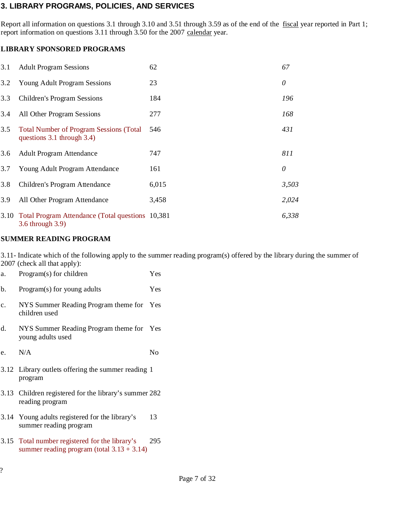## 3. LIBRARY PROGRAMS, POLICIES, AND SERVICES

Report all information on questions 3.1 through 3.10 and 3.51 through 3.59 as of the end of the fiscal year reported in Part 1; report information on questions 3.11 through 3.50 for the 2007 calendar year.

#### LIBRARY SPONSORED PROGRAMS

| 3.1  | <b>Adult Program Sessions</b>                                                 | 62    | 67       |
|------|-------------------------------------------------------------------------------|-------|----------|
| 3.2  | <b>Young Adult Program Sessions</b>                                           | 23    | 0        |
| 3.3  | <b>Children's Program Sessions</b>                                            | 184   | 196      |
| 3.4  | All Other Program Sessions                                                    | 277   | 168      |
| 3.5  | <b>Total Number of Program Sessions (Total)</b><br>questions 3.1 through 3.4) | 546   | 431      |
| 3.6  | <b>Adult Program Attendance</b>                                               | 747   | 811      |
| 3.7  | Young Adult Program Attendance                                                | 161   | $\theta$ |
| 3.8  | Children's Program Attendance                                                 | 6,015 | 3,503    |
| 3.9  | All Other Program Attendance                                                  | 3,458 | 2,024    |
| 3.10 | Total Program Attendance (Total questions 10,381)<br>3.6 through 3.9)         |       | 6,338    |

#### SUMMER READING PROGRAM

3.11- Indicate which of the following apply to the summer reading program(s) offered by the library during the summer of 2007 (check all that apply):

| a.             | Program(s) for children                                                                         | Yes |
|----------------|-------------------------------------------------------------------------------------------------|-----|
| b.             | Program(s) for young adults                                                                     | Yes |
| $\mathbf{c}$ . | NYS Summer Reading Program theme for Yes<br>children used                                       |     |
| d.             | NYS Summer Reading Program theme for Yes<br>young adults used                                   |     |
| e.             | N/A                                                                                             | No  |
|                | 3.12 Library outlets offering the summer reading 1<br>program                                   |     |
|                | 3.13 Children registered for the library's summer 282<br>reading program                        |     |
|                | 3.14 Young adults registered for the library's<br>summer reading program                        | 13  |
|                | 3.15 Total number registered for the library's<br>summer reading program (total $3.13 + 3.14$ ) | 295 |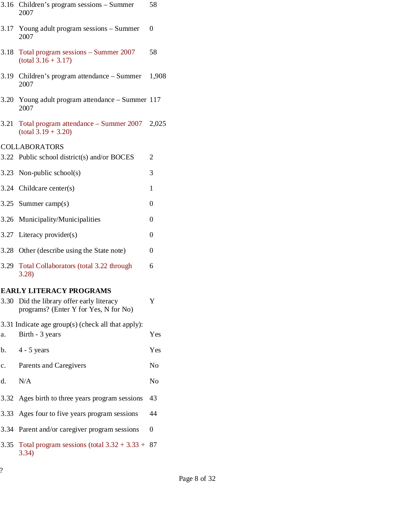| 3.16 | Children's program sessions – Summer<br>2007                                  | 58       |
|------|-------------------------------------------------------------------------------|----------|
| 3.17 | Young adult program sessions – Summer<br>2007                                 | $\Omega$ |
| 3.18 | Total program sessions – Summer 2007<br>$(total 3.16 + 3.17)$                 | 58       |
| 3.19 | Children's program attendance – Summer<br>2007                                | 1,908    |
| 3.20 | Young adult program attendance - Summer 117<br>2007                           |          |
| 3.21 | Total program attendance – Summer 2007 2,025<br>$(total 3.19 + 3.20)$         |          |
|      | <b>COLLABORATORS</b>                                                          |          |
|      | 3.22 Public school district(s) and/or BOCES                                   | 2        |
|      | 3.23 Non-public school(s)                                                     | 3        |
|      | 3.24 Childcare center(s)                                                      | 1        |
|      | 3.25 Summer camp $(s)$                                                        | 0        |
|      | 3.26 Municipality/Municipalities                                              | 0        |
|      | 3.27 Literacy provider(s)                                                     | 0        |
|      | 3.28 Other (describe using the State note)                                    | 0        |
| 3.29 | Total Collaborators (total 3.22 through<br>3.28                               | 6        |
|      | <b>EARLY LITERACY PROGRAMS</b>                                                |          |
| 3.30 | Did the library offer early literacy<br>programs? (Enter Y for Yes, N for No) | Y        |
|      | 3.31 Indicate age group(s) (check all that apply):                            |          |
| a.   | Birth - 3 years                                                               | Yes      |
| b.   | $4 - 5$ years                                                                 | Yes      |
| c.   | Parents and Caregivers                                                        | No       |
| d.   | N/A                                                                           | No       |
|      | 3.32 Ages birth to three years program sessions                               | 43       |
| 3.33 | Ages four to five years program sessions                                      | 44       |
| 3.34 | Parent and/or caregiver program sessions                                      | 0        |

3.35 Total program sessions (total  $3.32 + 3.33 + 87$ 3.34)

?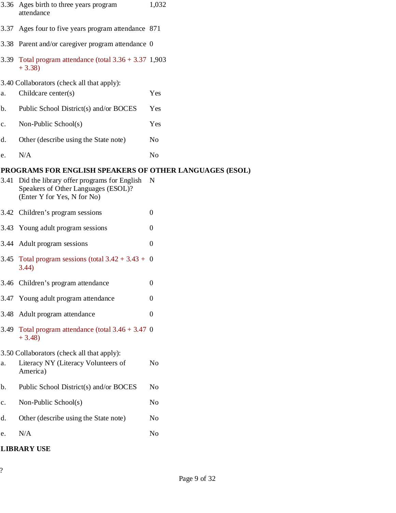|      | 3.36 Ages birth to three years program<br>attendance                                                             | 1,032            |
|------|------------------------------------------------------------------------------------------------------------------|------------------|
| 3.37 | Ages four to five years program attendance 871                                                                   |                  |
|      | 3.38 Parent and/or caregiver program attendance 0                                                                |                  |
| 3.39 | Total program attendance (total $3.36 + 3.37$ 1,903<br>$+3.38$                                                   |                  |
|      | 3.40 Collaborators (check all that apply):                                                                       |                  |
| a.   | Childcare center(s)                                                                                              | Yes              |
| b.   | Public School District(s) and/or BOCES                                                                           | Yes              |
| c.   | Non-Public School(s)                                                                                             | Yes              |
| d.   | Other (describe using the State note)                                                                            | N <sub>0</sub>   |
| e.   | N/A                                                                                                              | No               |
|      | PROGRAMS FOR ENGLISH SPEAKERS OF OTHER LANGUAGES (ESOL)                                                          |                  |
| 3.41 | Did the library offer programs for English<br>Speakers of Other Languages (ESOL)?<br>(Enter Y for Yes, N for No) | N                |
|      | 3.42 Children's program sessions                                                                                 | $\theta$         |
| 3.43 | Young adult program sessions                                                                                     | $\Omega$         |
| 3.44 | Adult program sessions                                                                                           | $\theta$         |
| 3.45 | Total program sessions (total $3.42 + 3.43 + 0$<br>3.44)                                                         |                  |
|      | 3.46 Children's program attendance                                                                               | $\boldsymbol{0}$ |
| 3.47 | Young adult program attendance                                                                                   | $\theta$         |
| 3.48 | Adult program attendance                                                                                         | $\theta$         |
| 3.49 | Total program attendance (total $3.46 + 3.47$ 0<br>$+3.48$                                                       |                  |
|      | 3.50 Collaborators (check all that apply):                                                                       |                  |
| a.   | Literacy NY (Literacy Volunteers of<br>America)                                                                  | N <sub>o</sub>   |
| b.   | Public School District(s) and/or BOCES                                                                           | N <sub>o</sub>   |
| c.   | Non-Public School(s)                                                                                             | N <sub>o</sub>   |
| d.   | Other (describe using the State note)                                                                            | N <sub>o</sub>   |
| e.   | N/A                                                                                                              | N <sub>0</sub>   |
|      | <b>LIBRARY USE</b>                                                                                               |                  |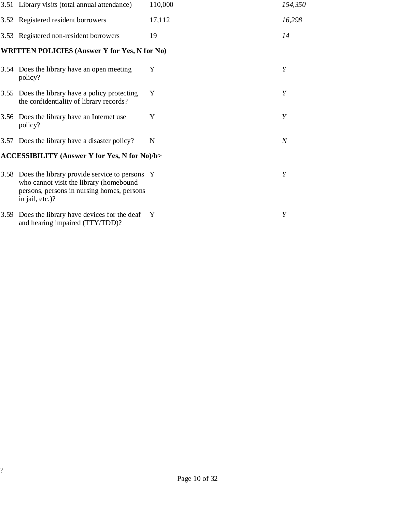|      | 3.51 Library visits (total annual attendance)                                                                                                                  | 110,000      | 154,350          |
|------|----------------------------------------------------------------------------------------------------------------------------------------------------------------|--------------|------------------|
|      | 3.52 Registered resident borrowers                                                                                                                             | 17,112       | 16,298           |
|      | 3.53 Registered non-resident borrowers                                                                                                                         | 19           | 14               |
|      | <b>WRITTEN POLICIES (Answer Y for Yes, N for No)</b>                                                                                                           |              |                  |
|      | 3.54 Does the library have an open meeting<br>policy?                                                                                                          | Y            | Y                |
| 3.55 | Does the library have a policy protecting<br>the confidentiality of library records?                                                                           | Y            | Y                |
|      | 3.56 Does the library have an Internet use<br>policy?                                                                                                          | Y            | Y                |
|      | 3.57 Does the library have a disaster policy?                                                                                                                  | N            | $\boldsymbol{N}$ |
|      | <b>ACCESSIBILITY (Answer Y for Yes, N for No)/b&gt;</b>                                                                                                        |              |                  |
|      | 3.58 Does the library provide service to persons Y<br>who cannot visit the library (homebound<br>persons, persons in nursing homes, persons<br>in jail, etc.)? |              | Y                |
| 3.59 | Does the library have devices for the deaf<br>and hearing impaired (TTY/TDD)?                                                                                  | $\mathbf{Y}$ | Y                |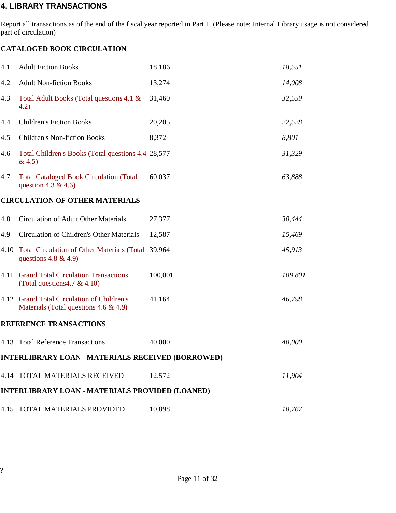#### 4. LIBRARY TRANSACTIONS

Report all transactions as of the end of the fiscal year reported in Part 1. (Please note: Internal Library usage is not considered part of circulation)

#### CATALOGED BOOK CIRCULATION

| 4.1  | <b>Adult Fiction Books</b>                                                              | 18,186  | 18,551  |
|------|-----------------------------------------------------------------------------------------|---------|---------|
| 4.2  | <b>Adult Non-fiction Books</b>                                                          | 13,274  | 14,008  |
| 4.3  | Total Adult Books (Total questions 4.1 &<br>4.2)                                        | 31,460  | 32,559  |
| 4.4  | <b>Children's Fiction Books</b>                                                         | 20,205  | 22,528  |
| 4.5  | <b>Children's Non-fiction Books</b>                                                     | 8,372   | 8,801   |
| 4.6  | Total Children's Books (Total questions 4.4 28,577<br>& 4.5)                            |         | 31,329  |
| 4.7  | <b>Total Cataloged Book Circulation (Total</b><br>question 4.3 & 4.6)                   | 60,037  | 63,888  |
|      | <b>CIRCULATION OF OTHER MATERIALS</b>                                                   |         |         |
| 4.8  | <b>Circulation of Adult Other Materials</b>                                             | 27,377  | 30,444  |
| 4.9  | Circulation of Children's Other Materials                                               | 12,587  | 15,469  |
| 4.10 | <b>Total Circulation of Other Materials (Total</b><br>questions $4.8 \& 4.9$            | 39,964  | 45,913  |
| 4.11 | <b>Grand Total Circulation Transactions</b><br>(Total questions 4.7 & 4.10)             | 100,001 | 109,801 |
|      | 4.12 Grand Total Circulation of Children's<br>Materials (Total questions $4.6 \& 4.9$ ) | 41,164  | 46,798  |
|      | <b>REFERENCE TRANSACTIONS</b>                                                           |         |         |
|      | 4.13 Total Reference Transactions                                                       | 40,000  | 40,000  |
|      | <b>INTERLIBRARY LOAN - MATERIALS RECEIVED (BORROWED)</b>                                |         |         |
|      | 4.14 TOTAL MATERIALS RECEIVED                                                           | 12,572  | 11,904  |
|      | <b>INTERLIBRARY LOAN - MATERIALS PROVIDED (LOANED)</b>                                  |         |         |
|      | <b>4.15 TOTAL MATERIALS PROVIDED</b>                                                    | 10,898  | 10,767  |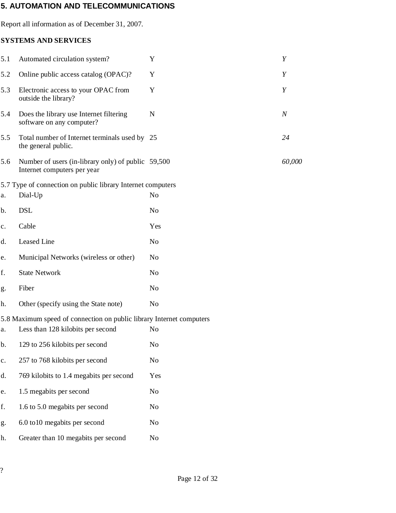### 5. AUTOMATION AND TELECOMMUNICATIONS

Report all information as of December 31, 2007.

#### SYSTEMS AND SERVICES

| 5.1            | Automated circulation system?                                                     | Y              | Y                |
|----------------|-----------------------------------------------------------------------------------|----------------|------------------|
| 5.2            | Online public access catalog (OPAC)?                                              | Y              | Y                |
| 5.3            | Electronic access to your OPAC from<br>outside the library?                       | Y              | Y                |
| 5.4            | Does the library use Internet filtering<br>software on any computer?              | $\mathbf N$    | $\boldsymbol{N}$ |
| 5.5            | Total number of Internet terminals used by 25<br>the general public.              |                | 24               |
| 5.6            | Number of users (in-library only) of public 59,500<br>Internet computers per year |                | 60,000           |
|                | 5.7 Type of connection on public library Internet computers                       |                |                  |
| a.             | Dial-Up                                                                           | N <sub>o</sub> |                  |
| b.             | <b>DSL</b>                                                                        | N <sub>o</sub> |                  |
| c.             | Cable                                                                             | Yes            |                  |
| d.             | Leased Line                                                                       | N <sub>o</sub> |                  |
| e.             | Municipal Networks (wireless or other)                                            | N <sub>o</sub> |                  |
| f.             | <b>State Network</b>                                                              | N <sub>o</sub> |                  |
| g.             | Fiber                                                                             | N <sub>o</sub> |                  |
| h.             | Other (specify using the State note)                                              | N <sub>o</sub> |                  |
|                | 5.8 Maximum speed of connection on public library Internet computers              |                |                  |
| a.             | Less than 128 kilobits per second                                                 | N <sub>0</sub> |                  |
| b.             | 129 to 256 kilobits per second                                                    | No             |                  |
| $\mathbf{c}$ . | 257 to 768 kilobits per second                                                    | N <sub>0</sub> |                  |
| d.             | 769 kilobits to 1.4 megabits per second                                           | Yes            |                  |
| e.             | 1.5 megabits per second                                                           | N <sub>0</sub> |                  |
| f.             | 1.6 to 5.0 megabits per second                                                    | No             |                  |
| g.             | 6.0 to 10 megabits per second                                                     | N <sub>0</sub> |                  |

h. Greater than 10 megabits per second No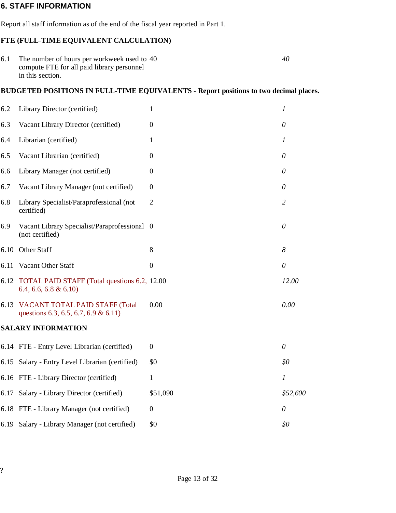#### 6. STAFF INFORMATION

Report all staff information as of the end of the fiscal year reported in Part 1.

#### FTE (FULL-TIME EQUIVALENT CALCULATION)

| 6.1 The number of hours per workweek used to 40 | 40 |
|-------------------------------------------------|----|
| compute FTE for all paid library personnel      |    |
| in this section.                                |    |

#### BUDGETED POSITIONS IN FULL-TIME EQUIVALENTS - Report positions to two decimal places.

| 6.2  | Library Director (certified)                                                  | 1              | $\boldsymbol{l}$ |
|------|-------------------------------------------------------------------------------|----------------|------------------|
| 6.3  | Vacant Library Director (certified)                                           | $\overline{0}$ | $\theta$         |
| 6.4  | Librarian (certified)                                                         | $\mathbf{1}$   | $\boldsymbol{l}$ |
| 6.5  | Vacant Librarian (certified)                                                  | $\Omega$       | $\theta$         |
| 6.6  | Library Manager (not certified)                                               | $\Omega$       | $\theta$         |
| 6.7  | Vacant Library Manager (not certified)                                        | $\Omega$       | 0                |
| 6.8  | Library Specialist/Paraprofessional (not<br>certified)                        | $\overline{2}$ | $\overline{2}$   |
| 6.9  | Vacant Library Specialist/Paraprofessional 0<br>(not certified)               |                | $\theta$         |
|      | 6.10 Other Staff                                                              | 8              | 8                |
| 6.11 | Vacant Other Staff                                                            | $\overline{0}$ | $\theta$         |
|      | 6.12 TOTAL PAID STAFF (Total questions 6.2, 12.00)<br>$6.4, 6.6, 6.8 \& 6.10$ |                | 12.00            |
|      | 6.13 VACANT TOTAL PAID STAFF (Total<br>questions 6.3, 6.5, 6.7, 6.9 & 6.11)   | 0.00           | 0.00             |
|      | <b>SALARY INFORMATION</b>                                                     |                |                  |
|      | 6.14 FTE - Entry Level Librarian (certified)                                  | $\overline{0}$ | $\theta$         |
|      | 6.15 Salary - Entry Level Librarian (certified)                               | \$0            | \$0              |
|      | 6.16 FTE - Library Director (certified)                                       | 1              | $\boldsymbol{l}$ |
|      | 6.17 Salary - Library Director (certified)                                    | \$51,090       | \$52,600         |
|      | 6.18 FTE - Library Manager (not certified)                                    | $\Omega$       | $\theta$         |
|      | 6.19 Salary - Library Manager (not certified)                                 | \$0            | \$0              |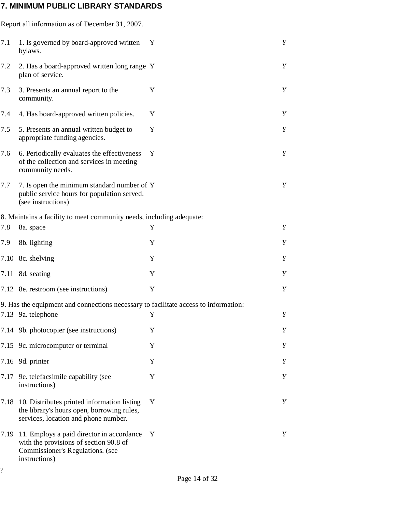# 7. MINIMUM PUBLIC LIBRARY STANDARDS

|      | Report all information as of December 31, 2007.                                                                                          |   |   |
|------|------------------------------------------------------------------------------------------------------------------------------------------|---|---|
| 7.1  | 1. Is governed by board-approved written<br>bylaws.                                                                                      | Y | Y |
| 7.2  | 2. Has a board-approved written long range Y<br>plan of service.                                                                         |   | Y |
| 7.3  | 3. Presents an annual report to the<br>community.                                                                                        | Y | Y |
| 7.4  | 4. Has board-approved written policies.                                                                                                  | Y | Y |
| 7.5  | 5. Presents an annual written budget to<br>appropriate funding agencies.                                                                 | Y | Y |
| 7.6  | 6. Periodically evaluates the effectiveness<br>of the collection and services in meeting<br>community needs.                             | Y | Y |
| 7.7  | 7. Is open the minimum standard number of Y<br>public service hours for population served.<br>(see instructions)                         |   | Y |
|      | 8. Maintains a facility to meet community needs, including adequate:                                                                     |   |   |
| 7.8  | 8a. space                                                                                                                                | Y | Y |
| 7.9  | 8b. lighting                                                                                                                             | Y | Y |
| 7.10 | 8c. shelving                                                                                                                             | Y | Y |
| 7.11 | 8d. seating                                                                                                                              | Y | Y |
|      | 7.12 8e. restroom (see instructions)                                                                                                     | Y | Y |
|      | 9. Has the equipment and connections necessary to facilitate access to information:                                                      |   |   |
|      | 7.13 9a. telephone                                                                                                                       | Y | Y |
|      | 7.14 9b. photocopier (see instructions)                                                                                                  | Y | Y |
|      | 7.15 9c. microcomputer or terminal                                                                                                       | Y | Y |
|      | 7.16 9d. printer                                                                                                                         | Y | Y |
| 7.17 | 9e. telefacsimile capability (see<br>instructions)                                                                                       | Y | Y |
| 7.18 | 10. Distributes printed information listing<br>the library's hours open, borrowing rules,<br>services, location and phone number.        | Y | Y |
| 7.19 | 11. Employs a paid director in accordance<br>with the provisions of section 90.8 of<br>Commissioner's Regulations. (see<br>instructions) | Y | Y |
| ?    |                                                                                                                                          |   |   |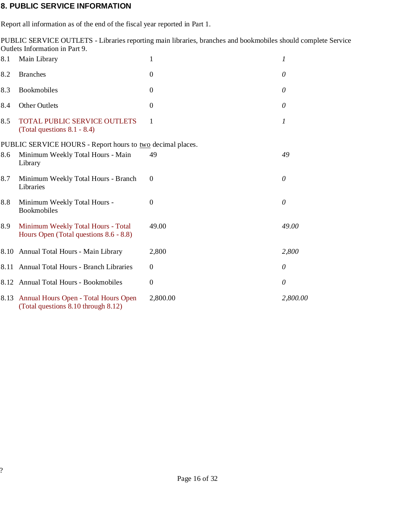#### 8. PUBLIC SERVICE INFORMATION

Report all information as of the end of the fiscal year reported in Part 1.

PUBLIC SERVICE OUTLETS - Libraries reporting main libraries, branches and bookmobiles should complete Service Outlets Information in Part 9.

| 8.1  | Main Library                                                                 | $\mathbf{1}$   | 1                |
|------|------------------------------------------------------------------------------|----------------|------------------|
| 8.2  | <b>Branches</b>                                                              | $\mathbf{0}$   | 0                |
| 8.3  | Bookmobiles                                                                  | $\overline{0}$ | 0                |
| 8.4  | <b>Other Outlets</b>                                                         | $\overline{0}$ | 0                |
| 8.5  | <b>TOTAL PUBLIC SERVICE OUTLETS</b><br>(Total questions $8.1 - 8.4$ )        | 1              | $\boldsymbol{l}$ |
|      | PUBLIC SERVICE HOURS - Report hours to two decimal places.                   |                |                  |
| 8.6  | Minimum Weekly Total Hours - Main<br>Library                                 | 49             | 49               |
| 8.7  | Minimum Weekly Total Hours - Branch<br>Libraries                             | $\overline{0}$ | $\theta$         |
| 8.8  | Minimum Weekly Total Hours -<br><b>Bookmobiles</b>                           | $\overline{0}$ | 0                |
| 8.9  | Minimum Weekly Total Hours - Total<br>Hours Open (Total questions 8.6 - 8.8) | 49.00          | 49.00            |
|      | 8.10 Annual Total Hours - Main Library                                       | 2,800          | 2,800            |
| 8.11 | Annual Total Hours - Branch Libraries                                        | $\mathbf{0}$   | 0                |
|      | 8.12 Annual Total Hours - Bookmobiles                                        | $\mathbf{0}$   | 0                |
| 8.13 | Annual Hours Open - Total Hours Open<br>(Total questions 8.10 through 8.12)  | 2,800.00       | 2,800.00         |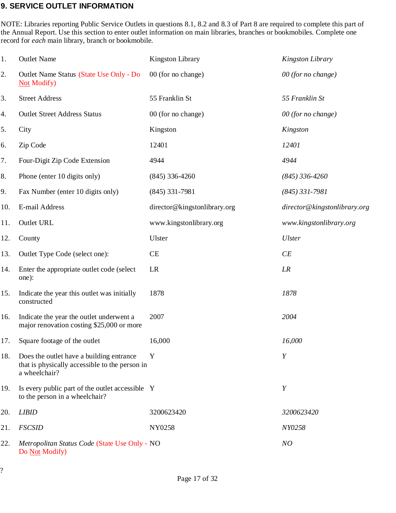#### 9. SERVICE OUTLET INFORMATION

NOTE: Libraries reporting Public Service Outlets in questions 8.1, 8.2 and 8.3 of Part 8 are required to complete this part of the Annual Report. Use this section to enter outlet information on main libraries, branches or bookmobiles. Complete one record for *each* main library, branch or bookmobile.

| 1.  | <b>Outlet Name</b>                                                                                          | <b>Kingston Library</b>      | Kingston Library             |
|-----|-------------------------------------------------------------------------------------------------------------|------------------------------|------------------------------|
| 2.  | Outlet Name Status (State Use Only - Do<br><b>Not Modify</b> )                                              | 00 (for no change)           | 00 (for no change)           |
| 3.  | <b>Street Address</b>                                                                                       | 55 Franklin St               | 55 Franklin St               |
| 4.  | <b>Outlet Street Address Status</b>                                                                         | 00 (for no change)           | 00 (for no change)           |
| 5.  | City                                                                                                        | Kingston                     | Kingston                     |
| 6.  | Zip Code                                                                                                    | 12401                        | 12401                        |
| 7.  | Four-Digit Zip Code Extension                                                                               | 4944                         | 4944                         |
| 8.  | Phone (enter 10 digits only)                                                                                | $(845)$ 336-4260             | $(845)$ 336-4260             |
| 9.  | Fax Number (enter 10 digits only)                                                                           | $(845)$ 331-7981             | $(845)$ 331-7981             |
| 10. | E-mail Address                                                                                              | director@kingstonlibrary.org | director@kingstonlibrary.org |
| 11. | <b>Outlet URL</b>                                                                                           | www.kingstonlibrary.org      | www.kingstonlibrary.org      |
| 12. | County                                                                                                      | Ulster                       | <b>Ulster</b>                |
| 13. | Outlet Type Code (select one):                                                                              | CE                           | CE                           |
| 14. | Enter the appropriate outlet code (select)<br>one):                                                         | LR                           | LR                           |
| 15. | Indicate the year this outlet was initially<br>constructed                                                  | 1878                         | 1878                         |
| 16. | Indicate the year the outlet underwent a<br>major renovation costing \$25,000 or more                       | 2007                         | 2004                         |
| 17. | Square footage of the outlet                                                                                | 16,000                       | 16,000                       |
| 18. | Does the outlet have a building entrance<br>that is physically accessible to the person in<br>a wheelchair? | Y                            | Y                            |
| 19. | Is every public part of the outlet accessible Y<br>to the person in a wheelchair?                           |                              | Y                            |
| 20. | <b>LIBID</b>                                                                                                | 3200623420                   | 3200623420                   |
| 21. | <b>FSCSID</b>                                                                                               | NY0258                       | NY0258                       |
| 22. | Metropolitan Status Code (State Use Only - NO<br>Do Not Modify)                                             |                              | NO                           |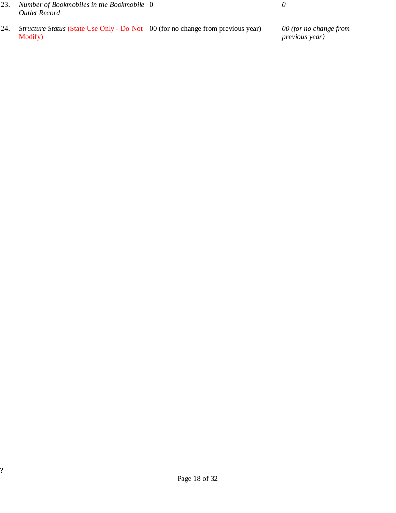- 23. Number of Bookmobiles in the Bookmobile  $0$  0 Outlet Record
- 24. Structure Status (State Use Only Do <u>Not</u> 00 (for no change from previous year) 00 (for no change from Modify)

previous year)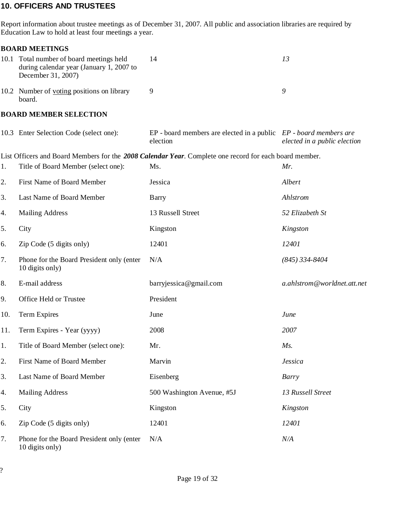#### 10. OFFICERS AND TRUSTEES

Report information about trustee meetings as of December 31, 2007. All public and association libraries are required by Education Law to hold at least four meetings a year.

#### BOARD MEETINGS

| 10.1 Total number of board meetings held<br>during calendar year (January 1, 2007 to<br>December 31, 2007) | 14 | 73 |
|------------------------------------------------------------------------------------------------------------|----|----|
| 10.2 Number of voting positions on library<br>board.                                                       |    |    |

#### BOARD MEMBER SELECTION

|     | 10.3 Enter Selection Code (select one):                      | $EP$ - board members are elected in a public $EP$ - board members are<br>election                      | elected in a public election |
|-----|--------------------------------------------------------------|--------------------------------------------------------------------------------------------------------|------------------------------|
|     |                                                              | List Officers and Board Members for the 2008 Calendar Year. Complete one record for each board member. |                              |
| 1.  | Title of Board Member (select one):                          | Ms.                                                                                                    | Mr.                          |
| 2.  | First Name of Board Member                                   | Jessica                                                                                                | Albert                       |
| 3.  | Last Name of Board Member                                    | Barry                                                                                                  | Ahlstrom                     |
| 4.  | <b>Mailing Address</b>                                       | 13 Russell Street                                                                                      | 52 Elizabeth St              |
| 5.  | City                                                         | Kingston                                                                                               | Kingston                     |
| 6.  | Zip Code (5 digits only)                                     | 12401                                                                                                  | 12401                        |
| 7.  | Phone for the Board President only (enter<br>10 digits only) | N/A                                                                                                    | $(845)$ 334-8404             |
| 8.  | E-mail address                                               | barryjessica@gmail.com                                                                                 | a.ahlstrom@worldnet.att.net  |
| 9.  | Office Held or Trustee                                       | President                                                                                              |                              |
| 10. | <b>Term Expires</b>                                          | June                                                                                                   | June                         |
| 11. | Term Expires - Year (yyyy)                                   | 2008                                                                                                   | 2007                         |
| 1.  | Title of Board Member (select one):                          | Mr.                                                                                                    | $Ms$ .                       |
| 2.  | First Name of Board Member                                   | Marvin                                                                                                 | <b>Jessica</b>               |
| 3.  | Last Name of Board Member                                    | Eisenberg                                                                                              | Barry                        |
| 4.  | <b>Mailing Address</b>                                       | 500 Washington Avenue, #5J                                                                             | 13 Russell Street            |
| 5.  | City                                                         | Kingston                                                                                               | Kingston                     |
| 6.  | Zip Code (5 digits only)                                     | 12401                                                                                                  | 12401                        |
| 7.  | Phone for the Board President only (enter<br>10 digits only) | N/A                                                                                                    | N/A                          |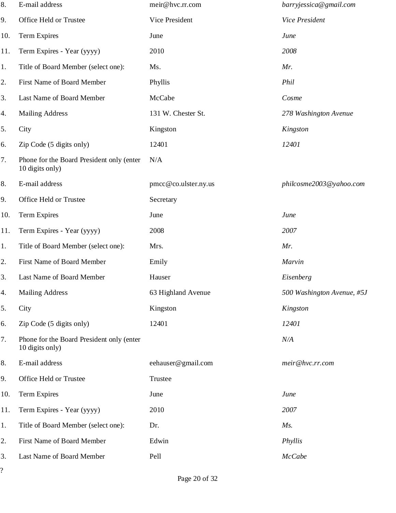| 8.                             | E-mail address                                               | meir@hvc.rr.com      | barryjessica@gmail.com     |
|--------------------------------|--------------------------------------------------------------|----------------------|----------------------------|
| 9.                             | Office Held or Trustee                                       | Vice President       | Vice President             |
| 10.                            | <b>Term Expires</b>                                          | June                 | June                       |
| 11.                            | Term Expires - Year (yyyy)                                   | 2010                 | 2008                       |
| 1.                             | Title of Board Member (select one):                          | Ms.                  | Mr.                        |
| 2.                             | First Name of Board Member                                   | Phyllis              | Phil                       |
| 3.                             | Last Name of Board Member                                    | McCabe               | Cosme                      |
| 4.                             | <b>Mailing Address</b>                                       | 131 W. Chester St.   | 278 Washington Avenue      |
| 5.                             | City                                                         | Kingston             | Kingston                   |
| 6.                             | Zip Code (5 digits only)                                     | 12401                | 12401                      |
| 7.                             | Phone for the Board President only (enter<br>10 digits only) | N/A                  |                            |
| 8.                             | E-mail address                                               | pmcc@co.ulster.ny.us | philcosme2003@yahoo.com    |
| 9.                             | Office Held or Trustee                                       | Secretary            |                            |
| 10.                            | <b>Term Expires</b>                                          | June                 | June                       |
| 11.                            | Term Expires - Year (yyyy)                                   | 2008                 | 2007                       |
| 1.                             | Title of Board Member (select one):                          | Mrs.                 | Mr.                        |
| 2.                             | First Name of Board Member                                   | Emily                | Marvin                     |
| 3.                             | Last Name of Board Member                                    | Hauser               | Eisenberg                  |
| 4.                             | <b>Mailing Address</b>                                       | 63 Highland Avenue   | 500 Washington Avenue, #5J |
| 5.                             | City                                                         | Kingston             | Kingston                   |
| 6.                             | Zip Code (5 digits only)                                     | 12401                | 12401                      |
| 7.                             | Phone for the Board President only (enter<br>10 digits only) |                      | N/A                        |
| 8.                             | E-mail address                                               | eehauser@gmail.com   | meir@hvc.rr.com            |
| 9.                             | Office Held or Trustee                                       | Trustee              |                            |
| 10.                            | <b>Term Expires</b>                                          | June                 | June                       |
| 11.                            | Term Expires - Year (yyyy)                                   | 2010                 | 2007                       |
| 1.                             | Title of Board Member (select one):                          | Dr.                  | $Ms$ .                     |
| 2.                             | First Name of Board Member                                   | Edwin                | Phyllis                    |
| 3.<br>$\overline{\mathcal{C}}$ | Last Name of Board Member                                    | Pell                 | <b>McCabe</b>              |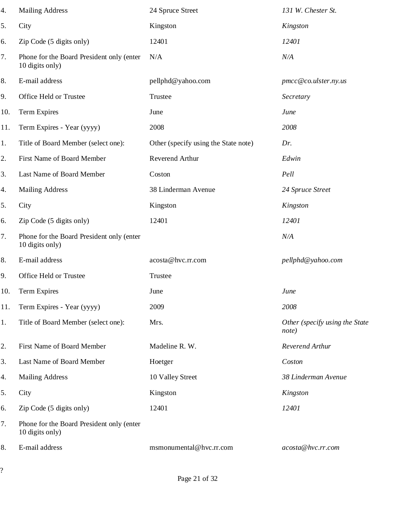| 4.  | <b>Mailing Address</b>                                       | 24 Spruce Street                     | 131 W. Chester St.                      |
|-----|--------------------------------------------------------------|--------------------------------------|-----------------------------------------|
| 5.  | City                                                         | Kingston                             | Kingston                                |
| 6.  | Zip Code (5 digits only)                                     | 12401                                | 12401                                   |
| 7.  | Phone for the Board President only (enter<br>10 digits only) | N/A                                  | N/A                                     |
| 8.  | E-mail address                                               | pellphd@yahoo.com                    | pmcc@co.ulster.ny.us                    |
| 9.  | Office Held or Trustee                                       | Trustee                              | Secretary                               |
| 10. | Term Expires                                                 | June                                 | June                                    |
| 11. | Term Expires - Year (yyyy)                                   | 2008                                 | 2008                                    |
| 1.  | Title of Board Member (select one):                          | Other (specify using the State note) | Dr.                                     |
| 2.  | First Name of Board Member                                   | Reverend Arthur                      | Edwin                                   |
| 3.  | Last Name of Board Member                                    | Coston                               | Pell                                    |
| 4.  | <b>Mailing Address</b>                                       | 38 Linderman Avenue                  | 24 Spruce Street                        |
| 5.  | City                                                         | Kingston                             | Kingston                                |
| 6.  | Zip Code (5 digits only)                                     | 12401                                | 12401                                   |
| 7.  | Phone for the Board President only (enter<br>10 digits only) |                                      | N/A                                     |
| 8.  | E-mail address                                               | acosta@hvc.rr.com                    | pellphd@yahoo.com                       |
| 9.  | Office Held or Trustee                                       | Trustee                              |                                         |
| 10. | Term Expires                                                 | June                                 | June                                    |
| 11. | Term Expires - Year (yyyy)                                   | 2009                                 | 2008                                    |
| 1.  | Title of Board Member (select one):                          | Mrs.                                 | Other (specify using the State<br>note) |
| 2.  | First Name of Board Member                                   | Madeline R. W.                       | Reverend Arthur                         |
| 3.  | Last Name of Board Member                                    | Hoetger                              | Coston                                  |
| 4.  | <b>Mailing Address</b>                                       | 10 Valley Street                     | 38 Linderman Avenue                     |
| 5.  | City                                                         | Kingston                             | Kingston                                |
| 6.  | Zip Code (5 digits only)                                     | 12401                                | 12401                                   |
| 7.  | Phone for the Board President only (enter<br>10 digits only) |                                      |                                         |
| 8.  | E-mail address                                               | msmonumental@hvc.rr.com              | acosta@hvc.rr.com                       |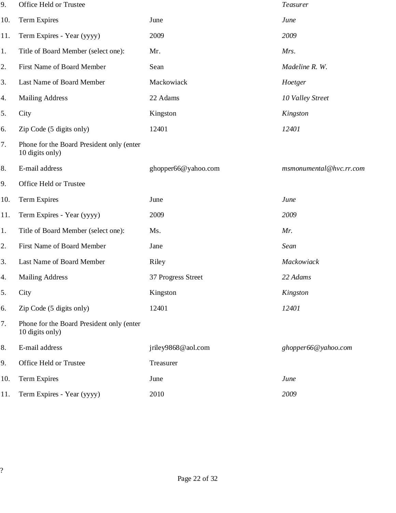| 9.  | Office Held or Trustee                                       |                     | Teasurer                |
|-----|--------------------------------------------------------------|---------------------|-------------------------|
| 10. | <b>Term Expires</b>                                          | June                | June                    |
| 11. | Term Expires - Year (yyyy)                                   | 2009                | 2009                    |
| 1.  | Title of Board Member (select one):                          | Mr.                 | Mrs.                    |
| 2.  | First Name of Board Member                                   | Sean                | Madeline R. W.          |
| 3.  | Last Name of Board Member                                    | Mackowiack          | Hoetger                 |
| 4.  | <b>Mailing Address</b>                                       | 22 Adams            | 10 Valley Street        |
| 5.  | City                                                         | Kingston            | Kingston                |
| 6.  | Zip Code (5 digits only)                                     | 12401               | 12401                   |
| 7.  | Phone for the Board President only (enter<br>10 digits only) |                     |                         |
| 8.  | E-mail address                                               | ghopper66@yahoo.com | msmonumental@hvc.rr.com |
| 9.  | Office Held or Trustee                                       |                     |                         |
| 10. | <b>Term Expires</b>                                          | June                | June                    |
| 11. | Term Expires - Year (yyyy)                                   | 2009                | 2009                    |
| 1.  | Title of Board Member (select one):                          | Ms.                 | Mr.                     |
| 2.  | First Name of Board Member                                   | Jane                | Sean                    |
| 3.  | Last Name of Board Member                                    | Riley               | Mackowiack              |
| 4.  | <b>Mailing Address</b>                                       | 37 Progress Street  | 22 Adams                |
| 5.  | City                                                         | Kingston            | Kingston                |
| 6.  | Zip Code (5 digits only)                                     | 12401               | 12401                   |
| 7.  | Phone for the Board President only (enter<br>10 digits only) |                     |                         |
| 8.  | E-mail address                                               | jriley9868@aol.com  | ghopper66@yahoo.com     |
| 9.  | Office Held or Trustee                                       | Treasurer           |                         |
| 10. | <b>Term Expires</b>                                          | June                | June                    |
| 11. | Term Expires - Year (yyyy)                                   | 2010                | 2009                    |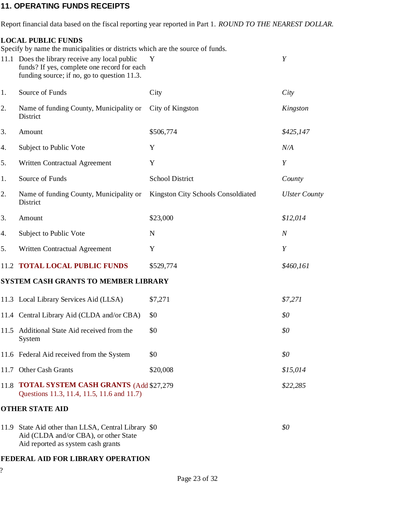#### 11. OPERATING FUNDS RECEIPTS

Report financial data based on the fiscal reporting year reported in Part 1. ROUND TO THE NEAREST DOLLAR.

#### LOCAL PUBLIC FUNDS

Specify by name the municipalities or districts which are the source of funds.

|      | 11.1 Does the library receive any local public<br>funds? If yes, complete one record for each<br>funding source; if no, go to question 11.3. | Y                                  | Y                    |
|------|----------------------------------------------------------------------------------------------------------------------------------------------|------------------------------------|----------------------|
| 1.   | Source of Funds                                                                                                                              | City                               | City                 |
| 2.   | Name of funding County, Municipality or<br>District                                                                                          | City of Kingston                   | Kingston             |
| 3.   | Amount                                                                                                                                       | \$506,774                          | \$425,147            |
| 4.   | Subject to Public Vote                                                                                                                       | Y                                  | N/A                  |
| 5.   | Written Contractual Agreement                                                                                                                | Y                                  | Y                    |
| 1.   | Source of Funds                                                                                                                              | <b>School District</b>             | County               |
| 2.   | Name of funding County, Municipality or<br>District                                                                                          | Kingston City Schools Consoldiated | <b>Ulster County</b> |
| 3.   | Amount                                                                                                                                       | \$23,000                           | \$12,014             |
| 4.   | Subject to Public Vote                                                                                                                       | N                                  | $\boldsymbol{N}$     |
| 5.   | Written Contractual Agreement                                                                                                                | Y                                  | Y                    |
| 11.2 | <b>TOTAL LOCAL PUBLIC FUNDS</b>                                                                                                              | \$529,774                          | \$460,161            |
|      | <b>SYSTEM CASH GRANTS TO MEMBER LIBRARY</b>                                                                                                  |                                    |                      |
|      | 11.3 Local Library Services Aid (LLSA)                                                                                                       | \$7,271                            | \$7,271              |
|      | 11.4 Central Library Aid (CLDA and/or CBA)                                                                                                   | \$0                                | \$0                  |
| 11.5 | Additional State Aid received from the<br>System                                                                                             | \$0                                | \$0                  |
|      | 11.6 Federal Aid received from the System                                                                                                    | \$0                                | \$0                  |
| 11.7 | Other Cash Grants                                                                                                                            | \$20,008                           | \$15,014             |
| 11.8 | <b>TOTAL SYSTEM CASH GRANTS (Add \$27,279)</b><br>Questions 11.3, 11.4, 11.5, 11.6 and 11.7)                                                 |                                    | \$22,285             |
|      | <b>OTHER STATE AID</b>                                                                                                                       |                                    |                      |
| 11.9 | State Aid other than LLSA, Central Library \$0<br>Aid (CLDA and/or CBA), or other State<br>Aid reported as system cash grants                |                                    | \$0                  |

#### FEDERAL AID FOR LIBRARY OPERATION

?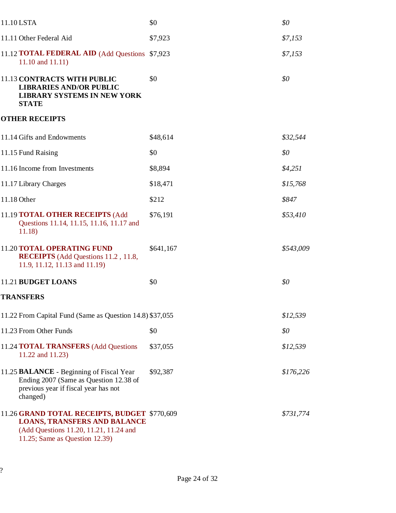| 11.10 LSTA                                                                                                                                                      | \$0       | \$0       |
|-----------------------------------------------------------------------------------------------------------------------------------------------------------------|-----------|-----------|
| 11.11 Other Federal Aid                                                                                                                                         | \$7,923   | \$7,153   |
| 11.12 <b>TOTAL FEDERAL AID</b> (Add Questions \$7,923)<br>11.10 and 11.11)                                                                                      |           | \$7,153   |
| <b>11.13 CONTRACTS WITH PUBLIC</b><br><b>LIBRARIES AND/OR PUBLIC</b><br><b>LIBRARY SYSTEMS IN NEW YORK</b><br><b>STATE</b>                                      | \$0       | \$0       |
| <b>OTHER RECEIPTS</b>                                                                                                                                           |           |           |
| 11.14 Gifts and Endowments                                                                                                                                      | \$48,614  | \$32,544  |
| 11.15 Fund Raising                                                                                                                                              | \$0       | \$0       |
| 11.16 Income from Investments                                                                                                                                   | \$8,894   | \$4,251   |
| 11.17 Library Charges                                                                                                                                           | \$18,471  | \$15,768  |
| 11.18 Other                                                                                                                                                     | \$212     | \$847     |
| 11.19 TOTAL OTHER RECEIPTS (Add<br>Questions 11.14, 11.15, 11.16, 11.17 and<br>11.18)                                                                           | \$76,191  | \$53,410  |
| <b>11.20 TOTAL OPERATING FUND</b><br><b>RECEIPTS</b> (Add Questions 11.2, 11.8,<br>11.9, 11.12, 11.13 and 11.19)                                                | \$641,167 | \$543,009 |
| 11.21 BUDGET LOANS                                                                                                                                              | \$0       | \$0       |
| <b>TRANSFERS</b>                                                                                                                                                |           |           |
| 11.22 From Capital Fund (Same as Question 14.8) \$37,055                                                                                                        |           | \$12,539  |
| 11.23 From Other Funds                                                                                                                                          | \$0       | \$0       |
| 11.24 TOTAL TRANSFERS (Add Questions<br>11.22 and 11.23)                                                                                                        | \$37,055  | \$12,539  |
| 11.25 <b>BALANCE</b> - Beginning of Fiscal Year<br>Ending 2007 (Same as Question 12.38 of<br>previous year if fiscal year has not<br>changed)                   | \$92,387  | \$176,226 |
| 11.26 GRAND TOTAL RECEIPTS, BUDGET \$770,609<br><b>LOANS, TRANSFERS AND BALANCE</b><br>(Add Questions 11.20, 11.21, 11.24 and<br>11.25; Same as Question 12.39) |           | \$731,774 |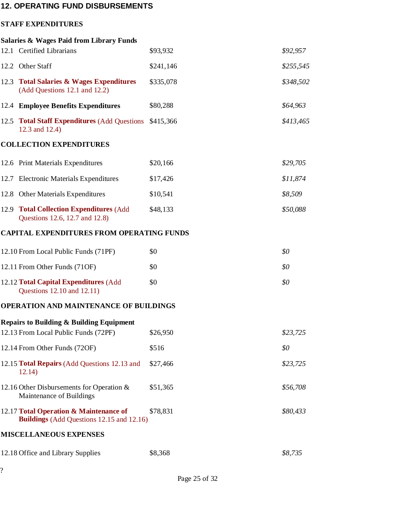### 12. OPERATING FUND DISBURSEMENTS

#### STAFF EXPENDITURES

|              | <b>Salaries &amp; Wages Paid from Library Funds</b>                                         |           |           |
|--------------|---------------------------------------------------------------------------------------------|-----------|-----------|
|              | 12.1 Certified Librarians                                                                   | \$93,932  | \$92,957  |
|              | 12.2 Other Staff                                                                            | \$241,146 | \$255,545 |
| 12.3         | <b>Total Salaries &amp; Wages Expenditures</b><br>(Add Questions 12.1 and 12.2)             | \$335,078 | \$348,502 |
|              | 12.4 Employee Benefits Expenditures                                                         | \$80,288  | \$64,963  |
|              | 12.5 Total Staff Expenditures (Add Questions<br>12.3 and 12.4)                              | \$415,366 | \$413,465 |
|              | <b>COLLECTION EXPENDITURES</b>                                                              |           |           |
|              | 12.6 Print Materials Expenditures                                                           | \$20,166  | \$29,705  |
|              | 12.7 Electronic Materials Expenditures                                                      | \$17,426  | \$11,874  |
|              | 12.8 Other Materials Expenditures                                                           | \$10,541  | \$8,509   |
| 12.9         | <b>Total Collection Expenditures (Add)</b><br>Questions 12.6, 12.7 and 12.8)                | \$48,133  | \$50,088  |
|              | <b>CAPITAL EXPENDITURES FROM OPERATING FUNDS</b>                                            |           |           |
|              | 12.10 From Local Public Funds (71PF)                                                        | \$0       | \$0       |
|              | 12.11 From Other Funds (71OF)                                                               | \$0       | \$0       |
|              | 12.12 Total Capital Expenditures (Add<br>Questions 12.10 and 12.11)                         | \$0       | \$0       |
|              | <b>OPERATION AND MAINTENANCE OF BUILDINGS</b>                                               |           |           |
|              | <b>Repairs to Building &amp; Building Equipment</b><br>12.13 From Local Public Funds (72PF) | \$26,950  | \$23,725  |
|              | 12.14 From Other Funds (72OF)                                                               | \$516     | \$0       |
|              | 12.15 Total Repairs (Add Questions 12.13 and<br>12.14)                                      | \$27,466  | \$23,725  |
|              | 12.16 Other Disbursements for Operation $\&$<br>Maintenance of Buildings                    | \$51,365  | \$56,708  |
|              | 12.17 Total Operation & Maintenance of<br><b>Buildings</b> (Add Questions 12.15 and 12.16)  | \$78,831  | \$80,433  |
|              | <b>MISCELLANEOUS EXPENSES</b>                                                               |           |           |
|              | 12.18 Office and Library Supplies                                                           | \$8,368   | \$8,735   |
| $\mathbf{?}$ |                                                                                             |           |           |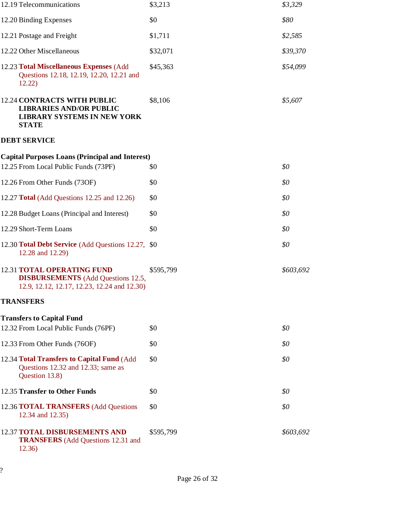| 12.19 Telecommunications                                                                                                      | \$3,213   | \$3,329   |
|-------------------------------------------------------------------------------------------------------------------------------|-----------|-----------|
| 12.20 Binding Expenses                                                                                                        | \$0       | \$80      |
| 12.21 Postage and Freight                                                                                                     | \$1,711   | \$2,585   |
| 12.22 Other Miscellaneous                                                                                                     | \$32,071  | \$39,370  |
| 12.23 Total Miscellaneous Expenses (Add<br>Questions 12.18, 12.19, 12.20, 12.21 and<br>12.22)                                 | \$45,363  | \$54,099  |
| <b>12.24 CONTRACTS WITH PUBLIC</b><br><b>LIBRARIES AND/OR PUBLIC</b><br><b>LIBRARY SYSTEMS IN NEW YORK</b><br><b>STATE</b>    | \$8,106   | \$5,607   |
| <b>DEBT SERVICE</b>                                                                                                           |           |           |
| <b>Capital Purposes Loans (Principal and Interest)</b>                                                                        |           |           |
| 12.25 From Local Public Funds (73PF)                                                                                          | \$0       | \$0       |
| 12.26 From Other Funds (73OF)                                                                                                 | \$0       | \$0       |
| 12.27 <b>Total</b> (Add Questions 12.25 and 12.26)                                                                            | \$0       | \$0       |
| 12.28 Budget Loans (Principal and Interest)                                                                                   | \$0       | \$0       |
| 12.29 Short-Term Loans                                                                                                        | \$0       | \$0       |
| 12.30 Total Debt Service (Add Questions 12.27, \$0)<br>12.28 and 12.29)                                                       |           | \$0       |
| <b>12.31 TOTAL OPERATING FUND</b><br><b>DISBURSEMENTS</b> (Add Questions 12.5,<br>12.9, 12.12, 12.17, 12.23, 12.24 and 12.30) | \$595,799 | \$603,692 |
| <b>TRANSFERS</b>                                                                                                              |           |           |
| <b>Transfers to Capital Fund</b>                                                                                              |           |           |
| 12.32 From Local Public Funds (76PF)                                                                                          | \$0       | \$0       |
| 12.33 From Other Funds (76OF)                                                                                                 | \$0       | \$0       |
| 12.34 Total Transfers to Capital Fund (Add<br>Questions 12.32 and 12.33; same as<br>Question 13.8)                            | \$0       | \$0       |
| 12.35 Transfer to Other Funds                                                                                                 | \$0       | \$0       |
| 12.36 <b>TOTAL TRANSFERS</b> (Add Questions<br>12.34 and 12.35)                                                               | \$0       | \$0       |
| <b>12.37 TOTAL DISBURSEMENTS AND</b><br><b>TRANSFERS</b> (Add Questions 12.31 and<br>12.36)                                   | \$595,799 | \$603,692 |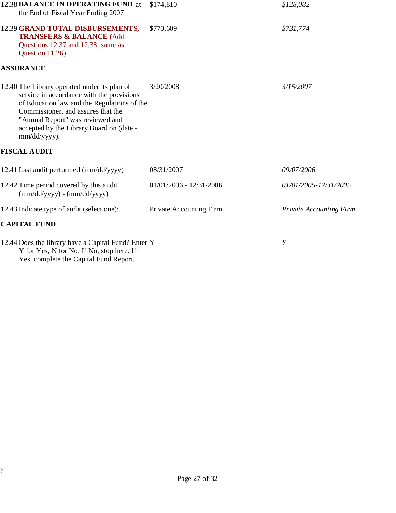| 12.38 BALANCE IN OPERATING FUND-at<br>the End of Fiscal Year Ending 2007                                                                                                                                                                                                       | \$174,810                 | \$128,082                      |
|--------------------------------------------------------------------------------------------------------------------------------------------------------------------------------------------------------------------------------------------------------------------------------|---------------------------|--------------------------------|
| 12.39 GRAND TOTAL DISBURSEMENTS,<br><b>TRANSFERS &amp; BALANCE (Add</b><br>Questions 12.37 and 12.38; same as<br>Question 11.26)                                                                                                                                               | \$770,609                 | \$731,774                      |
| <b>ASSURANCE</b>                                                                                                                                                                                                                                                               |                           |                                |
| 12.40 The Library operated under its plan of<br>service in accordance with the provisions<br>of Education law and the Regulations of the<br>Commissioner, and assures that the<br>"Annual Report" was reviewed and<br>accepted by the Library Board on (date -<br>mm/dd/yyyy). | 3/20/2008                 | 3/15/2007                      |
| <b>FISCAL AUDIT</b>                                                                                                                                                                                                                                                            |                           |                                |
| 12.41 Last audit performed (mm/dd/yyyy)                                                                                                                                                                                                                                        | 08/31/2007                | 09/07/2006                     |
| 12.42 Time period covered by this audit<br>$(mm/dd/yyyy) - (mm/dd/yyyy)$                                                                                                                                                                                                       | $01/01/2006 - 12/31/2006$ | 01/01/2005-12/31/2005          |
| 12.43 Indicate type of audit (select one):                                                                                                                                                                                                                                     | Private Accounting Firm   | <b>Private Accounting Firm</b> |
| <b>CAPITAL FUND</b>                                                                                                                                                                                                                                                            |                           |                                |
| 12.44 Does the library have a Capital Fund? Enter Y<br>Y for Yes, N for No. If No, stop here. If                                                                                                                                                                               |                           | Y                              |

Yes, complete the Capital Fund Report.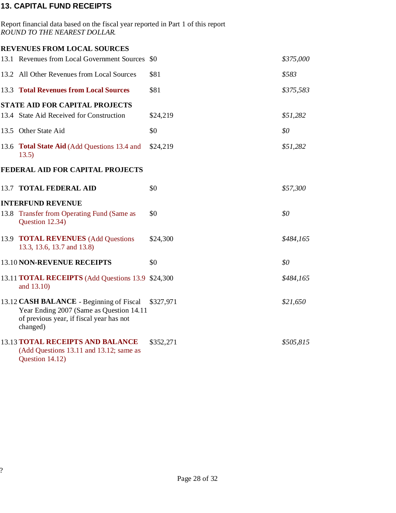# 13. CAPITAL FUND RECEIPTS

| Report financial data based on the fiscal year reported in Part 1 of this report<br>ROUND TO THE NEAREST DOLLAR.                              |           |           |
|-----------------------------------------------------------------------------------------------------------------------------------------------|-----------|-----------|
| <b>REVENUES FROM LOCAL SOURCES</b>                                                                                                            |           |           |
| 13.1 Revenues from Local Government Sources \$0                                                                                               |           | \$375,000 |
| 13.2 All Other Revenues from Local Sources                                                                                                    | \$81      | \$583     |
| <b>13.3 Total Revenues from Local Sources</b>                                                                                                 | \$81      | \$375,583 |
| <b>STATE AID FOR CAPITAL PROJECTS</b>                                                                                                         |           |           |
| 13.4 State Aid Received for Construction                                                                                                      | \$24,219  | \$51,282  |
| 13.5 Other State Aid                                                                                                                          | \$0       | \$0       |
| 13.6 Total State Aid (Add Questions 13.4 and<br>13.5)                                                                                         | \$24,219  | \$51,282  |
| FEDERAL AID FOR CAPITAL PROJECTS                                                                                                              |           |           |
| 13.7 TOTAL FEDERAL AID                                                                                                                        | \$0       | \$57,300  |
| <b>INTERFUND REVENUE</b>                                                                                                                      |           |           |
| 13.8 Transfer from Operating Fund (Same as<br>Question 12.34)                                                                                 | \$0       | \$0       |
| 13.9 <b>TOTAL REVENUES</b> (Add Questions<br>13.3, 13.6, 13.7 and 13.8)                                                                       | \$24,300  | \$484,165 |
| 13.10 NON-REVENUE RECEIPTS                                                                                                                    | \$0       | \$0       |
| 13.11 <b>TOTAL RECEIPTS</b> (Add Questions 13.9 \$24,300)<br>and 13.10)                                                                       |           | \$484,165 |
| 13.12 CASH BALANCE - Beginning of Fiscal<br>Year Ending 2007 (Same as Question 14.11)<br>of previous year, if fiscal year has not<br>changed) | \$327,971 | \$21,650  |
| 13.13 TOTAL RECEIPTS AND BALANCE<br>(Add Questions 13.11 and 13.12; same as<br>Question 14.12)                                                | \$352,271 | \$505,815 |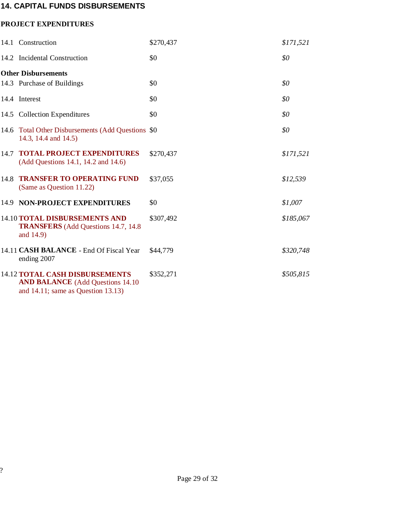## 14. CAPITAL FUNDS DISBURSEMENTS

#### PROJECT EXPENDITURES

|      | 14.1 Construction                                                                                                             | \$270,437 | \$171,521 |
|------|-------------------------------------------------------------------------------------------------------------------------------|-----------|-----------|
|      | 14.2 Incidental Construction                                                                                                  | \$0       | \$0       |
|      | <b>Other Disbursements</b>                                                                                                    |           |           |
|      | 14.3 Purchase of Buildings                                                                                                    | \$0       | \$0       |
|      | 14.4 Interest                                                                                                                 | \$0       | \$0       |
|      | 14.5 Collection Expenditures                                                                                                  | \$0       | \$0       |
|      | 14.6 Total Other Disbursements (Add Questions \$0<br>14.3, 14.4 and 14.5)                                                     |           | \$0       |
| 14.7 | <b>TOTAL PROJECT EXPENDITURES</b><br>(Add Questions 14.1, 14.2 and 14.6)                                                      | \$270,437 | \$171,521 |
| 14.8 | <b>TRANSFER TO OPERATING FUND</b><br>(Same as Question 11.22)                                                                 | \$37,055  | \$12,539  |
|      | 14.9 NON-PROJECT EXPENDITURES                                                                                                 | \$0       | \$1,007   |
|      | <b>14.10 TOTAL DISBURSEMENTS AND</b><br><b>TRANSFERS</b> (Add Questions 14.7, 14.8)<br>and 14.9)                              | \$307,492 | \$185,067 |
|      | 14.11 CASH BALANCE - End Of Fiscal Year<br>ending 2007                                                                        | \$44,779  | \$320,748 |
|      | <b>14.12 TOTAL CASH DISBURSEMENTS</b><br><b>AND BALANCE</b> (Add Questions 14.10)<br>and $14.11$ ; same as Question $13.13$ ) | \$352,271 | \$505,815 |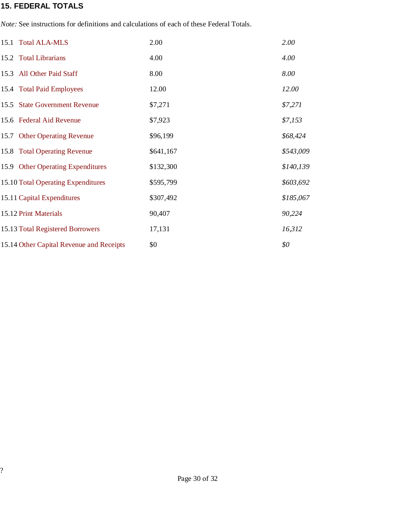### 15. FEDERAL TOTALS

Note: See instructions for definitions and calculations of each of these Federal Totals.

| 15.1 Total ALA-MLS                       | 2.00      | 2.00      |
|------------------------------------------|-----------|-----------|
| 15.2 Total Librarians                    | 4.00      | 4.00      |
| 15.3 All Other Paid Staff                | 8.00      | 8.00      |
| 15.4 Total Paid Employees                | 12.00     | 12.00     |
| 15.5 State Government Revenue            | \$7,271   | \$7,271   |
| 15.6 Federal Aid Revenue                 | \$7,923   | \$7,153   |
| 15.7 Other Operating Revenue             | \$96,199  | \$68,424  |
| 15.8 Total Operating Revenue             | \$641,167 | \$543,009 |
| 15.9 Other Operating Expenditures        | \$132,300 | \$140,139 |
| 15.10 Total Operating Expenditures       | \$595,799 | \$603,692 |
| 15.11 Capital Expenditures               | \$307,492 | \$185,067 |
| 15.12 Print Materials                    | 90,407    | 90,224    |
| 15.13 Total Registered Borrowers         | 17,131    | 16,312    |
| 15.14 Other Capital Revenue and Receipts | \$0       | \$0       |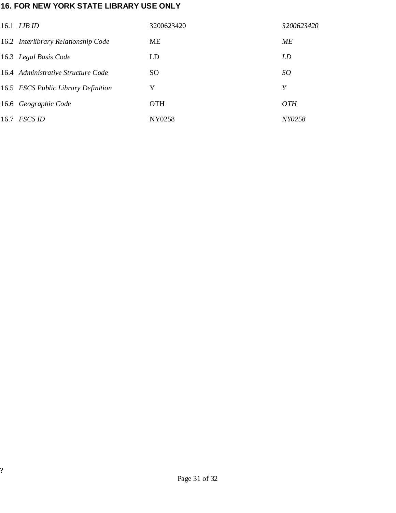# 16. FOR NEW YORK STATE LIBRARY USE ONLY

| 16.1 <i>LIB ID</i>                  | 3200623420 | 3200623420    |
|-------------------------------------|------------|---------------|
| 16.2 Interlibrary Relationship Code | ME         | МE            |
| 16.3 Legal Basis Code               | LD         | LD            |
| 16.4 Administrative Structure Code  | SO.        | SO            |
| 16.5 FSCS Public Library Definition | Y          | Y             |
| 16.6 Geographic Code                | <b>OTH</b> | <i>OTH</i>    |
| $16.7$ FSCS ID                      | NY0258     | <i>NY0258</i> |